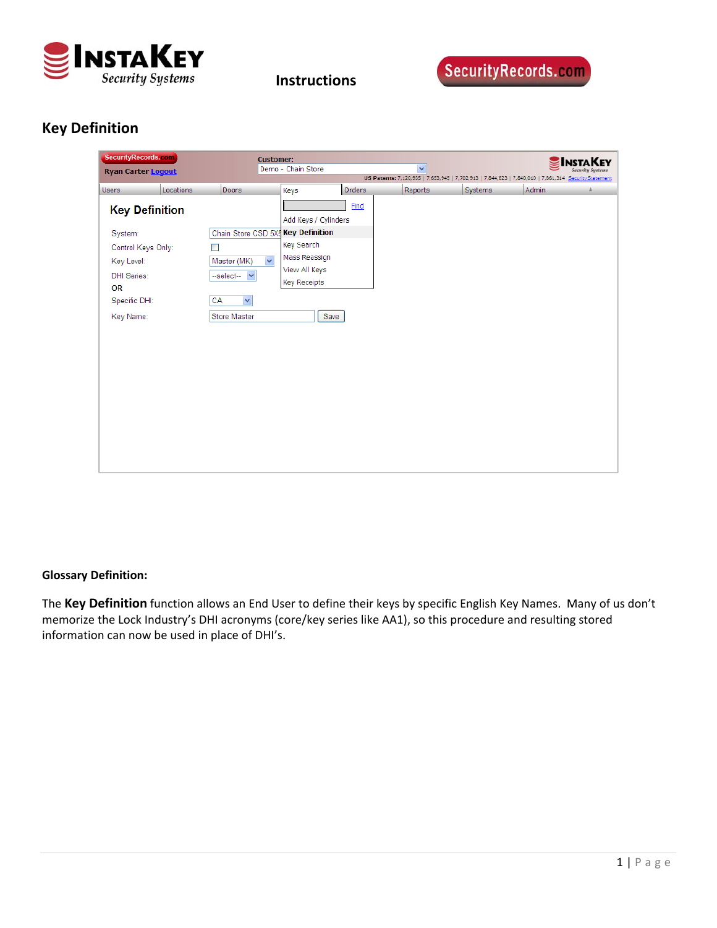

 **Instructions**

# **Key Definition**

| SecurityRecords.com<br><b>Ryan Carter Logout</b> |           | <b>Customer:</b>                       | Demo - Chain Store   |        | $\checkmark$<br>US Patents: 7,120,935   7,653,945   7,702,913   7,844,823   7,840,010   7,861,314 SecurityStatement |         |              | <b>SINSTAKEY</b> |
|--------------------------------------------------|-----------|----------------------------------------|----------------------|--------|---------------------------------------------------------------------------------------------------------------------|---------|--------------|------------------|
| <b>Users</b>                                     | Locations | <b>Doors</b>                           | Keys                 | Orders | Reports                                                                                                             | Systems | <b>Admin</b> |                  |
| <b>Key Definition</b>                            |           |                                        | Add Keys / Cylinders | Find   |                                                                                                                     |         |              |                  |
| System:                                          |           | Chain Store CSD 5X5 Key Definition     |                      |        |                                                                                                                     |         |              |                  |
| Control Keys Only:                               |           | ٠                                      | Key Search           |        |                                                                                                                     |         |              |                  |
| Key Level:                                       |           | $\overline{\mathbf{v}}$<br>Master (MK) | Mass Reassign        |        |                                                                                                                     |         |              |                  |
| <b>DHI Series:</b>                               |           | --select--<br>$\checkmark$             | View All Keys        |        |                                                                                                                     |         |              |                  |
| <b>OR</b>                                        |           |                                        | <b>Key Receipts</b>  |        |                                                                                                                     |         |              |                  |
| Specific DHI:                                    |           | CA<br>$\checkmark$                     |                      |        |                                                                                                                     |         |              |                  |
| Key Name:                                        |           | Store Master                           | Save                 |        |                                                                                                                     |         |              |                  |
|                                                  |           |                                        |                      |        |                                                                                                                     |         |              |                  |
|                                                  |           |                                        |                      |        |                                                                                                                     |         |              |                  |
|                                                  |           |                                        |                      |        |                                                                                                                     |         |              |                  |

#### **Glossary Definition:**

The **Key Definition** function allows an End User to define their keys by specific English Key Names. Many of us don't memorize the Lock Industry's DHI acronyms (core/key series like AA1), so this procedure and resulting stored information can now be used in place of DHI's.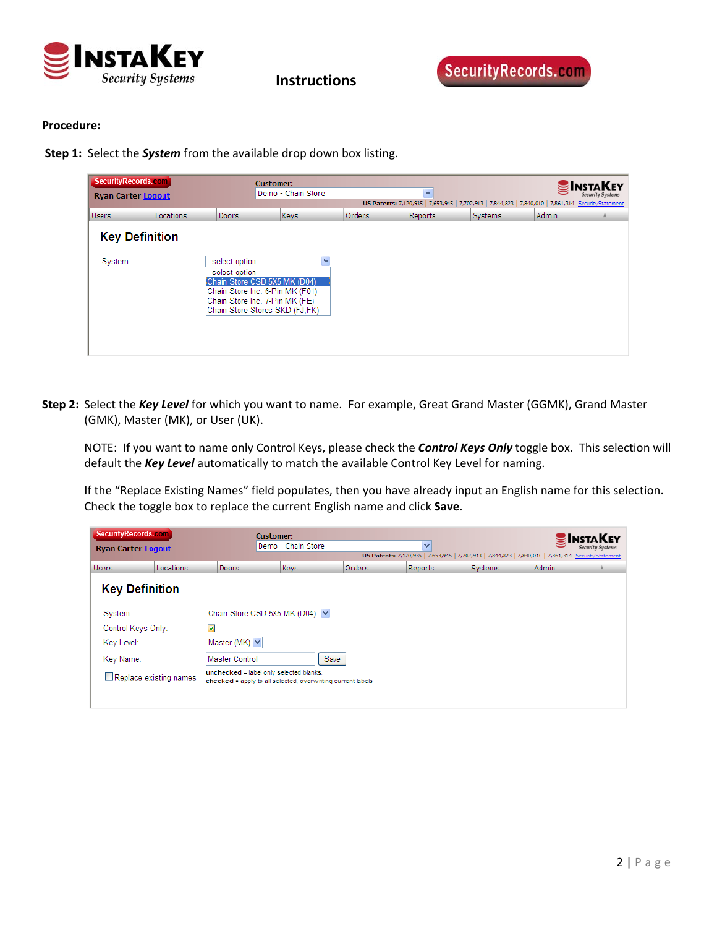

 **Instructions**

#### **Procedure:**

**Step 1:** Select the *System* from the available drop down box listing.

| SecurityRecords.com<br><b>Ryan Carter Logout</b> |            |                                                                                                                                                                               | <b>Customer:</b><br>Demo - Chain Store |              | $\checkmark$<br>US Patents: 7,120,935   7,653,945   7,702,913   7,844,823   7,840,010   7,861,314 Security Statement |                |       | <b>INSTAKEY</b> |
|--------------------------------------------------|------------|-------------------------------------------------------------------------------------------------------------------------------------------------------------------------------|----------------------------------------|--------------|----------------------------------------------------------------------------------------------------------------------|----------------|-------|-----------------|
| <b>Users</b>                                     | Locations. | Doors                                                                                                                                                                         | <b>Keys</b>                            | Orders       | <b>Reports</b>                                                                                                       | <b>Systems</b> | Admin | a.              |
| <b>Key Definition</b><br>System:                 |            | --select option--<br>--select option--<br>Chain Store CSD 5X5 MK (D04)<br>Chain Store Inc. 6-Pin MK (F01)<br>Chain Store Inc. 7-Pin MK (FE)<br>Chain Store Stores SKD (FJ,FK) |                                        | $\checkmark$ |                                                                                                                      |                |       |                 |

**Step 2:** Select the *Key Level* for which you want to name. For example, Great Grand Master (GGMK), Grand Master (GMK), Master (MK), or User (UK).

NOTE: If you want to name only Control Keys, please check the *Control Keys Only* toggle box. This selection will default the *Key Level* automatically to match the available Control Key Level for naming.

If the "Replace Existing Names" field populates, then you have already input an English name for this selection. Check the toggle box to replace the current English name and click **Save**.

| SecurityRecords.com       |           |                                                                                                        | <b>Customer:</b><br>v |        |         |                |                                                                                                     | <b>INSTAKEY</b> |
|---------------------------|-----------|--------------------------------------------------------------------------------------------------------|-----------------------|--------|---------|----------------|-----------------------------------------------------------------------------------------------------|-----------------|
| <b>Ryan Carter Logout</b> |           |                                                                                                        | Demo - Chain Store    |        |         |                | US Patents: 7,120,935   7,653,945   7,702,913   7,844,823   7,840,010   7,861,314 SecurityStatement |                 |
| <b>Users</b>              | Locations | Doors                                                                                                  | Keys                  | Orders | Reports | <b>Systems</b> | <b>Admin</b>                                                                                        |                 |
| <b>Key Definition</b>     |           |                                                                                                        |                       |        |         |                |                                                                                                     |                 |
| System:                   |           | Chain Store CSD 5X5 MK (D04) V                                                                         |                       |        |         |                |                                                                                                     |                 |
| Control Keys Only:        |           | ☑                                                                                                      |                       |        |         |                |                                                                                                     |                 |
| Key Level:                |           | Master (MK) $\vee$                                                                                     |                       |        |         |                |                                                                                                     |                 |
| Key Name:                 |           | <b>Master Control</b>                                                                                  | Save                  |        |         |                |                                                                                                     |                 |
| Replace existing names    |           | unchecked = label only selected blanks.<br>checked = apply to all selected, overwriting current labels |                       |        |         |                |                                                                                                     |                 |
|                           |           |                                                                                                        |                       |        |         |                |                                                                                                     |                 |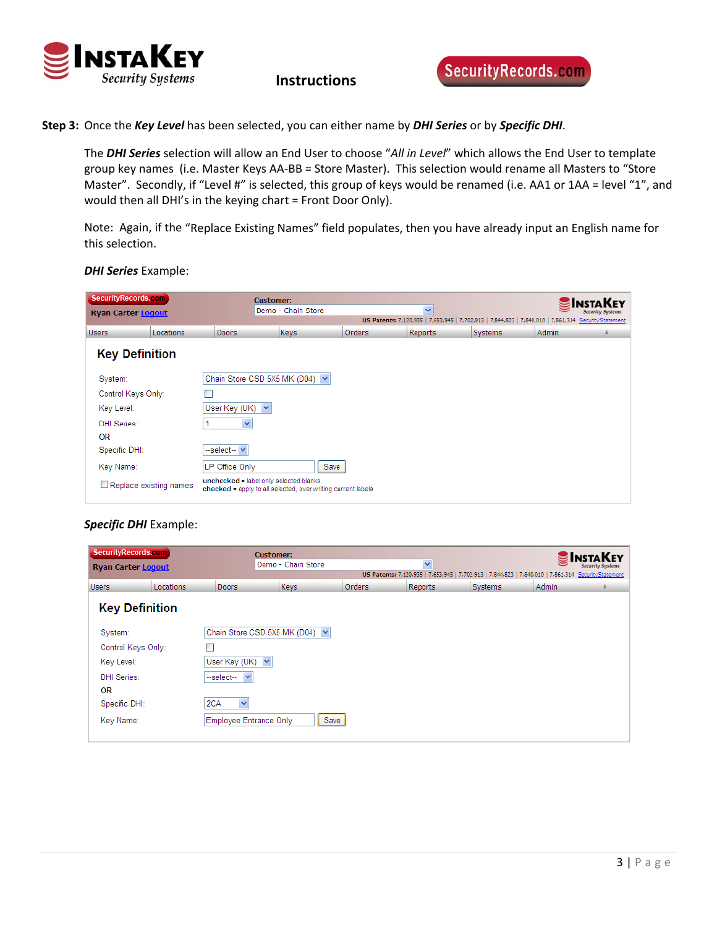

 **Instructions**

**Step 3:** Once the *Key Level* has been selected, you can either name by *DHI Series* or by *Specific DHI*.

The *DHI Series* selection will allow an End User to choose "*All in Level*" which allows the End User to template group key names (i.e. Master Keys AA‐BB = Store Master). This selection would rename all Masters to "Store Master". Secondly, if "Level #" is selected, this group of keys would be renamed (i.e. AA1 or 1AA = level "1", and would then all DHI's in the keying chart = Front Door Only).

Note: Again, if the "Replace Existing Names" field populates, then you have already input an English name for this selection.

*DHI Series* Example:

| SecurityRecords.com<br><b>Ryan Carter Logout</b> |                        |                                         | <b>Customer:</b><br>Demo - Chain Store<br>$\checkmark$      |        |                | <b>INSTAKEY</b><br><b>Security Systems</b><br>US Patents: 7,120,935   7,653,945   7,702,913   7,844,823   7,840,010   7,861,314 Security Statement |        |  |
|--------------------------------------------------|------------------------|-----------------------------------------|-------------------------------------------------------------|--------|----------------|----------------------------------------------------------------------------------------------------------------------------------------------------|--------|--|
| <b>Users</b>                                     | Locations              | Doors                                   | <b>Keys</b>                                                 | Orders | <b>Reports</b> | Systems                                                                                                                                            | Admin. |  |
| <b>Key Definition</b>                            |                        |                                         |                                                             |        |                |                                                                                                                                                    |        |  |
| System:                                          |                        | Chain Store CSD 5X5 MK (D04) ~          |                                                             |        |                |                                                                                                                                                    |        |  |
| Control Keys Only:                               |                        |                                         |                                                             |        |                |                                                                                                                                                    |        |  |
| Key Level:                                       |                        | User Key (UK) $\vee$                    |                                                             |        |                |                                                                                                                                                    |        |  |
| <b>DHI Series:</b>                               |                        |                                         |                                                             |        |                |                                                                                                                                                    |        |  |
| <b>OR</b>                                        |                        |                                         |                                                             |        |                |                                                                                                                                                    |        |  |
| Specific DHI:                                    |                        | --select-- V                            |                                                             |        |                |                                                                                                                                                    |        |  |
| Key Name:                                        |                        | LP Office Only                          | Save                                                        |        |                |                                                                                                                                                    |        |  |
|                                                  | Replace existing names | unchecked = label only selected blanks. | checked = apply to all selected, overwriting current labels |        |                |                                                                                                                                                    |        |  |

#### *Specific DHI* Example:

| SecurityRecords.com<br><b>Ryan Carter Logout</b> |           |                        | <b>Customer:</b><br>Demo - Chain Store<br>$\checkmark$ |        |                                                                                                      | <b>NSTAKEY</b> |              |  |
|--------------------------------------------------|-----------|------------------------|--------------------------------------------------------|--------|------------------------------------------------------------------------------------------------------|----------------|--------------|--|
|                                                  |           |                        |                                                        |        | US Patents: 7,120,935   7,653,945   7,702,913   7,844,823   7,840,010   7,861,314 Security Statement |                |              |  |
| <b>Users</b>                                     | Locations | <b>Doors</b>           | Keys                                                   | Orders | Reports                                                                                              | Systems        | <b>Admin</b> |  |
| <b>Key Definition</b>                            |           |                        |                                                        |        |                                                                                                      |                |              |  |
| System:                                          |           |                        | Chain Store CSD 5X5 MK (D04) ~                         |        |                                                                                                      |                |              |  |
| Control Keys Only:                               |           |                        |                                                        |        |                                                                                                      |                |              |  |
| Key Level:                                       |           | User Key (UK) $\vee$   |                                                        |        |                                                                                                      |                |              |  |
| DHI Series:                                      |           | --select-- Y           |                                                        |        |                                                                                                      |                |              |  |
| <b>OR</b>                                        |           |                        |                                                        |        |                                                                                                      |                |              |  |
| Specific DHI:                                    |           | 2CA<br>×               |                                                        |        |                                                                                                      |                |              |  |
| Key Name:                                        |           | Employee Entrance Only |                                                        | Save   |                                                                                                      |                |              |  |